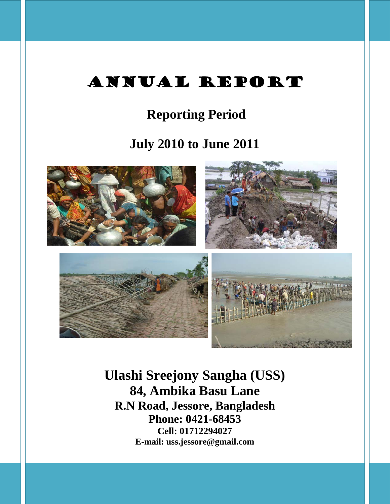# ANNUAL REPORT

## **Reporting Period**

## **July 2010 to June 2011**



**Ulashi Sreejony Sangha (USS) 84, Ambika Basu Lane R.N Road, Jessore, Bangladesh Phone: 0421-68453 Cell: 01712294027 E-mail: uss.jessore@gmail.com**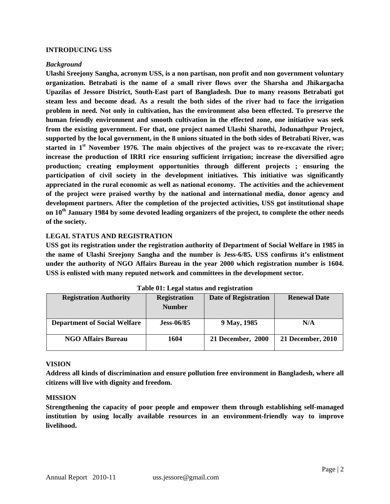#### **INTRODUCING USS**

#### *Background*

**Ulashi Sreejony Sangha, acronym USS, is a non partisan, non profit and non government voluntary organization. Betrabati is the name of a small river flows over the Sharsha and Jhikargacha Upazilas of Jessore District, South-East part of Bangladesh. Due to many reasons Betrabati got steam less and become dead. As a result the both sides of the river had to face the irrigation problem in need. Not only in cultivation, has the environment also been effected. To preserve the human friendly environment and smooth cultivation in the effected zone, one initiative was seek from the existing government. For that, one project named Ulashi Sharothi, Jodunathpur Project, supported by the local government, in the 8 unions situated in the both sides of Betrabati River, was started in 1st November 1976. The main objectives of the project was to re-excavate the river; increase the production of IRRI rice ensuring sufficient irrigation; increase the diversified agro production; creating employment opportunities through different projects ; ensuring the participation of civil society in the development initiatives. This initiative was significantly appreciated in the rural economic as well as national economy. The activities and the achievement of the project were praised worthy by the national and international media, donor agency and development partners. After the completion of the projected activities, USS got institutional shape on 10th January 1984 by some devoted leading organizers of the project, to complete the other needs of the society.**

#### **LEGAL STATUS AND REGISTRATION**

**USS got its registration under the registration authority of Department of Social Welfare in 1985 in the name of Ulashi Sreejony Sangha and the number is Jess-6/85. USS confirms it's enlistment under the authority of NGO Affairs Bureau in the year 2000 which registration number is 1604. USS is enlisted with many reputed network and committees in the development sector.**

| <b>Registration Authority</b>       | <b>Registration</b><br><b>Number</b> | <b>Date of Registration</b> | <b>Renewal Date</b> |
|-------------------------------------|--------------------------------------|-----------------------------|---------------------|
| <b>Department of Social Welfare</b> | $Jess-06/85$                         | 9 May, 1985                 | N/A                 |
| <b>NGO Affairs Bureau</b>           | 1604                                 | 21 December, 2000           | 21 December, 2010   |

**Table 01: Legal status and registration**

#### **VISION**

**Address all kinds of discrimination and ensure pollution free environment in Bangladesh, where all citizens will live with dignity and freedom.**

#### **MISSION**

**Strengthening the capacity of poor people and empower them through establishing self-managed institution by using locally available resources in an environment-friendly way to improve livelihood.**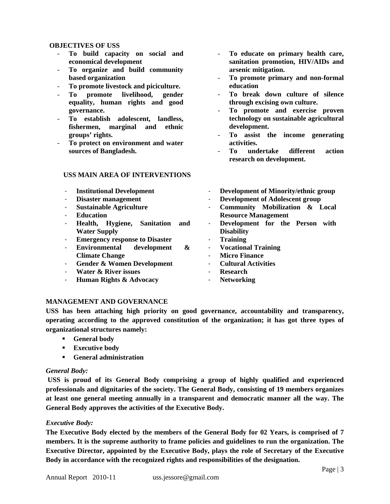#### **OBJECTIVES OF USS**

- **To build capacity on social and economical development**
- **To organize and build community based organization**
- **To promote livestock and piciculture.**
- **To promote livelihood, gender equality, human rights and good governance.**
- **To establish adolescent, landless, fishermen, marginal and ethnic groups' rights.**
- **To protect on environment and water sources of Bangladesh.**

#### **USS MAIN AREA OF INTERVENTIONS**

- **To educate on primary health care, sanitation promotion, HIV/AIDs and arsenic mitigation.**
- **To promote primary and non-formal education**
- **To break down culture of silence through excising own culture.**
- **To promote and exercise proven technology on sustainable agricultural development.**
- **To assist the income generating activities.**
- **To undertake different action research on development.**
- **Institutional Development**  - **Disaster management**  - **Sustainable Agriculture**  - **Education**  - **Health, Hygiene, Sanitation and Water Supply** - **Emergency response to Disaster**  - **Environmental development & Climate Change**  - **Gender & Women Development** - **Water & River issues** - **Development of Minority/ethnic group** - **Development of Adolescent group** - **Community Mobilization & Local Resource Management** Development for the Person with **Disability**  - **Training**  - **Vocational Training Micro Finance** - **Cultural Activities**  - **Research**
- **Human Rights & Advocacy**
- 
- **Networking**

## **MANAGEMENT AND GOVERNANCE**

**USS has been attaching high priority on good governance, accountability and transparency, operating according to the approved constitution of the organization; it has got three types of organizational structures namely:** 

- **General body**
- **Executive body**
- **General administration**

## *General Body:*

**USS is proud of its General Body comprising a group of highly qualified and experienced professionals and dignitaries of the society. The General Body, consisting of 19 members organizes at least one general meeting annually in a transparent and democratic manner all the way. The General Body approves the activities of the Executive Body.** 

## *Executive Body:*

**The Executive Body elected by the members of the General Body for 02 Years, is comprised of 7 members. It is the supreme authority to frame policies and guidelines to run the organization. The Executive Director, appointed by the Executive Body, plays the role of Secretary of the Executive Body in accordance with the recognized rights and responsibilities of the designation.**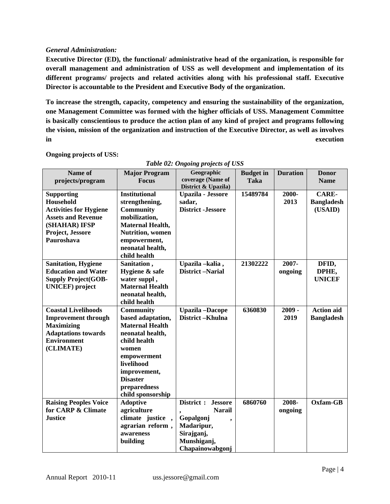#### *General Administration:*

**Executive Director (ED), the functional/ administrative head of the organization, is responsible for overall management and administration of USS as well development and implementation of its different programs/ projects and related activities along with his professional staff. Executive Director is accountable to the President and Executive Body of the organization.**

**To increase the strength, capacity, competency and ensuring the sustainability of the organization, one Management Committee was formed with the higher officials of USS. Management Committee is basically conscientious to produce the action plan of any kind of project and programs following the vision, mission of the organization and instruction of the Executive Director, as well as involves in execution**

| Name of<br>projects/program                                                                                                                     | <b>Major Program</b><br><b>Focus</b>                                                                                                                                                                              | Geographic<br>coverage (Name of<br>District & Upazila)                                                                   | <b>Budget</b> in<br><b>Taka</b> | <b>Duration</b>  | <b>Donor</b><br><b>Name</b>                  |
|-------------------------------------------------------------------------------------------------------------------------------------------------|-------------------------------------------------------------------------------------------------------------------------------------------------------------------------------------------------------------------|--------------------------------------------------------------------------------------------------------------------------|---------------------------------|------------------|----------------------------------------------|
| <b>Supporting</b><br>Household<br><b>Activities for Hygiene</b><br><b>Assets and Revenue</b><br>(SHAHAR) IFSP<br>Project, Jessore<br>Pauroshava | <b>Institutional</b><br>strengthening,<br><b>Community</b><br>mobilization,<br><b>Maternal Health,</b><br><b>Nutrition</b> , women<br>empowerment,<br>neonatal health,<br>child health                            | <b>Upazila - Jessore</b><br>sadar,<br><b>District</b> -Jessore                                                           | 15489784                        | 2000-<br>2013    | <b>CARE-</b><br><b>Bangladesh</b><br>(USAID) |
| <b>Sanitation, Hygiene</b><br><b>Education and Water</b><br><b>Supply Project(GOB-</b><br><b>UNICEF</b> ) project                               | Sanitation,<br>Hygiene & safe<br>water suppl,<br><b>Maternal Health</b><br>neonatal health,<br>child health                                                                                                       | Upazila -kalia,<br><b>District-Narial</b>                                                                                | 21302222                        | 2007-<br>ongoing | DFID,<br>DPHE,<br><b>UNICEF</b>              |
| <b>Coastal Livelihoods</b><br><b>Improvement through</b><br><b>Maximizing</b><br><b>Adaptations towards</b><br><b>Environment</b><br>(CLIMATE)  | <b>Community</b><br>based adaptation,<br><b>Maternal Health</b><br>neonatal health,<br>child health<br>women<br>empowerment<br>livelihood<br>improvement,<br><b>Disaster</b><br>preparedness<br>child sponsorship | <b>Upazila-Dacope</b><br>District-Khulna                                                                                 | 6360830                         | $2009 -$<br>2019 | <b>Action aid</b><br><b>Bangladesh</b>       |
| <b>Raising Peoples Voice</b><br>for CARP & Climate<br><b>Justice</b>                                                                            | <b>Adoptive</b><br>agriculture<br>climate justice,<br>agrarian reform,<br>awareness<br>building                                                                                                                   | District :<br><b>Jessore</b><br><b>Narail</b><br>Gopalgonj<br>Madaripur,<br>Sirajganj,<br>Munshiganj,<br>Chapainowabgonj | 6860760                         | 2008-<br>ongoing | Oxfam-GB                                     |

#### **Ongoing projects of USS:**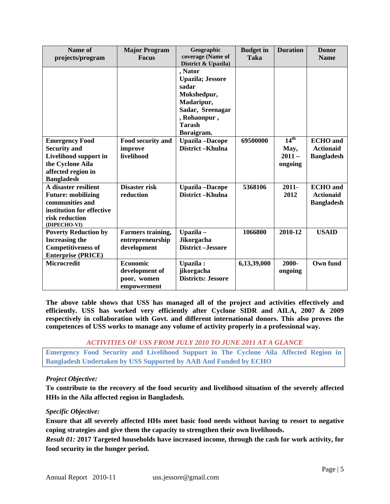| Name of<br>projects/program                                                                                                          | <b>Major Program</b><br><b>Focus</b>                     | Geographic<br>coverage (Name of                                                                                                                                    | <b>Budget in</b><br><b>Taka</b> | <b>Duration</b>                                 | <b>Donor</b><br><b>Name</b>                              |
|--------------------------------------------------------------------------------------------------------------------------------------|----------------------------------------------------------|--------------------------------------------------------------------------------------------------------------------------------------------------------------------|---------------------------------|-------------------------------------------------|----------------------------------------------------------|
|                                                                                                                                      |                                                          | District & Upazila)<br>, Nator<br><b>Upazila; Jessore</b><br>sadar<br>Mokshedpur,<br>Madaripur,<br>Sadar, Sreenagar<br>, Rohaonpur,<br><b>Tarash</b><br>Boraigram. |                                 |                                                 |                                                          |
| <b>Emergency Food</b><br><b>Security and</b><br>Livelihood support in<br>the Cyclone Aila<br>affected region in<br><b>Bangladesh</b> | Food security and<br>improve<br>livelihood               | <b>Upazila</b> -Dacope<br>District-Khulna                                                                                                                          | 69500000                        | $14^{\text{th}}$<br>May,<br>$2011 -$<br>ongoing | <b>ECHO</b> and<br><b>Actionaid</b><br><b>Bangladesh</b> |
| A disaster resilient<br><b>Future: mobilizing</b><br>communities and<br>institution for effective<br>risk reduction<br>(DIPECHO-VI)  | Disaster risk<br>reduction                               | <b>Upazila</b> -Dacope<br>District-Khulna                                                                                                                          | 5368106                         | $2011 -$<br>2012                                | <b>ECHO</b> and<br><b>Actionaid</b><br><b>Bangladesh</b> |
| <b>Poverty Reduction by</b><br><b>Increasing the</b><br><b>Competitiveness of</b><br><b>Enterprise (PRICE)</b>                       | Farmers training,<br>entrepreneurship<br>development     | Upazila-<br><b>Jikorgacha</b><br><b>District-Jessore</b>                                                                                                           | 1066800                         | 2010-12                                         | <b>USAID</b>                                             |
| <b>Microcredit</b>                                                                                                                   | Economic<br>development of<br>poor, women<br>empowerment | Upazila :<br>jikorgacha<br><b>Districts: Jessore</b>                                                                                                               | 6,13,39,000                     | 2000-<br>ongoing                                | Own fund                                                 |

**The above table shows that USS has managed all of the project and activities effectively and efficiently. USS has worked very efficiently after Cyclone SIDR and AILA, 2007 & 2009 respectively in collaboration with Govt. and different international donors. This also proves the competences of USS works to manage any volume of activity properly in a professional way.**

## *ACTIVITIES OF USS FROM JULY 2010 TO JUNE 2011 AT A GLANCE*

**Emergency Food Security and Livelihood Support in The Cyclone Aila Affected Region in Bangladesh Undertaken by USS Supported by AAB And Funded by ECHO**

#### *Project Objective:*

**To contribute to the recovery of the food security and livelihood situation of the severely affected HHs in the Aila affected region in Bangladesh.**

#### *Specific Objective:*

**Ensure that all severely affected HHs meet basic food needs without having to resort to negative coping strategies and give them the capacity to strengthen their own livelihoods.**

*Result 01:* **2017 Targeted households have increased income, through the cash for work activity, for food security in the hunger period.**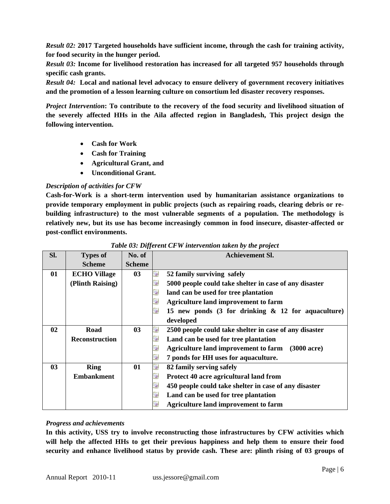*Result 02:* **2017 Targeted households have sufficient income, through the cash for training activity, for food security in the hunger period.**

*Result 03:* **Income for livelihood restoration has increased for all targeted 957 households through specific cash grants.**

*Result 04:* **Local and national level advocacy to ensure delivery of government recovery initiatives and the promotion of a lesson learning culture on consortium led disaster recovery responses.**

*Project Intervention***: To contribute to the recovery of the food security and livelihood situation of the severely affected HHs in the Aila affected region in Bangladesh, This project design the following intervention.**

- **Cash for Work**
- **Cash for Training**
- **Agricultural Grant, and**
- **Unconditional Grant.**

#### *Description of activities for CFW*

**Cash-for-Work is a short-term intervention used by humanitarian assistance organizations to provide temporary employment in public projects (such as repairing roads, clearing debris or rebuilding infrastructure) to the most vulnerable segments of a population. The methodology is relatively new, but its use has become increasingly common in food insecure, disaster-affected or post-conflict environments.**

| Sl. | <b>Types of</b>       | No. of         |    | <b>Achievement Sl.</b>                                                 |
|-----|-----------------------|----------------|----|------------------------------------------------------------------------|
|     | <b>Scheme</b>         | <b>Scheme</b>  |    |                                                                        |
| 01  | <b>ECHO Village</b>   | 03             | u. | 52 family surviving safely                                             |
|     | (Plinth Raising)      |                | л  | 5000 people could take shelter in case of any disaster                 |
|     |                       |                | u  | land can be used for tree plantation                                   |
|     |                       |                | u  | <b>Agriculture land improvement to farm</b>                            |
|     |                       |                | a. | 15 new ponds $(3 \text{ for drinking } \& 12 \text{ for aquaculture})$ |
|     |                       |                |    | developed                                                              |
| 02  | Road                  | 0 <sup>3</sup> | u  | 2500 people could take shelter in case of any disaster                 |
|     | <b>Reconstruction</b> |                | u) | Land can be used for tree plantation                                   |
|     |                       |                | u  | Agriculture land improvement to farm (3000 acre)                       |
|     |                       |                | u  | 7 ponds for HH uses for aquaculture.                                   |
| 03  | <b>Ring</b>           | 01             | G) | 82 family serving safely                                               |
|     | <b>Embankment</b>     |                | G. | Protect 40 acre agricultural land from                                 |
|     |                       |                | u  | 450 people could take shelter in case of any disaster                  |
|     |                       |                | u  | Land can be used for tree plantation                                   |
|     |                       |                |    | <b>Agriculture land improvement to farm</b>                            |

#### *Table 03: Different CFW intervention taken by the project*

#### *Progress and achievements*

**In this activity, USS try to involve reconstructing those infrastructures by CFW activities which will help the affected HHs to get their previous happiness and help them to ensure their food security and enhance livelihood status by provide cash. These are: plinth rising of 03 groups of**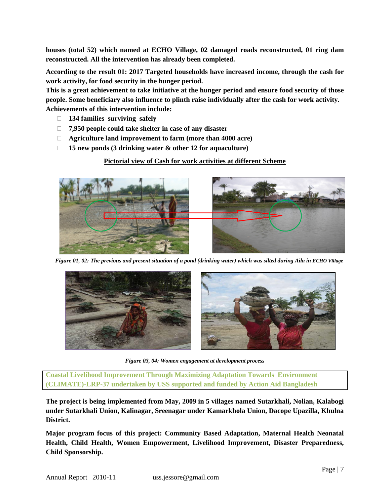**houses (total 52) which named at ECHO Village, 02 damaged roads reconstructed, 01 ring dam reconstructed. All the intervention has already been completed.**

**According to the result 01: 2017 Targeted households have increased income, through the cash for work activity, for food security in the hunger period.**

**This is a great achievement to take initiative at the hunger period and ensure food security of those people. Some beneficiary also influence to plinth raise individually after the cash for work activity. Achievements of this intervention include:**

- **134 families surviving safely**
- **7,950 people could take shelter in case of any disaster**
- **Agriculture land improvement to farm (more than 4000 acre)**
- **15 new ponds (3 drinking water & other 12 for aquaculture)**

## **Pictorial view of Cash for work activities at different Scheme**



 *Figure 01, 02: The previous and present situation of a pond (drinking water) which was silted during Aila in ECHO Village* 



*Figure 03, 04: Women engagement at development process*

**Coastal Livelihood Improvement Through Maximizing Adaptation Towards Environment (CLIMATE)-LRP-37 undertaken by USS supported and funded by Action Aid Bangladesh**

**The project is being implemented from May, 2009 in 5 villages named Sutarkhali, Nolian, Kalabogi under Sutarkhali Union, Kalinagar, Sreenagar under Kamarkhola Union, Dacope Upazilla, Khulna District.**

**Major program focus of this project: Community Based Adaptation, Maternal Health Neonatal Health, Child Health, Women Empowerment, Livelihood Improvement, Disaster Preparedness, Child Sponsorship.**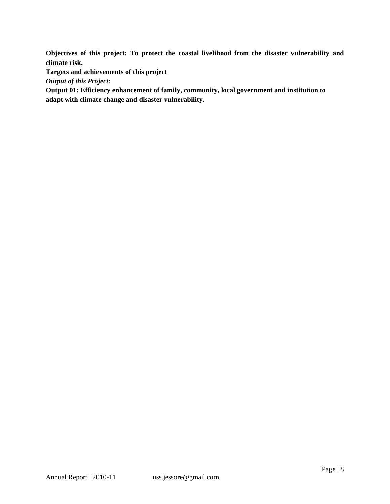**Objectives of this project: To protect the coastal livelihood from the disaster vulnerability and climate risk.**

**Targets and achievements of this project**

*Output of this Project:*

**Output 01: Efficiency enhancement of family, community, local government and institution to adapt with climate change and disaster vulnerability.**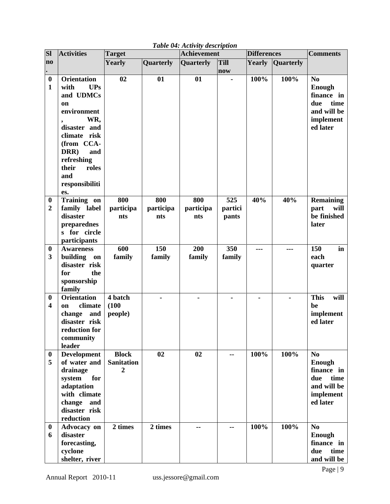| <b>Sl</b>                        | <b>Activities</b>                                                                                                                                                                                              | <b>Achievement</b><br><b>Target</b> |                  |           |             | <b>Differences</b> |                  | <b>Comments</b>                                                                          |
|----------------------------------|----------------------------------------------------------------------------------------------------------------------------------------------------------------------------------------------------------------|-------------------------------------|------------------|-----------|-------------|--------------------|------------------|------------------------------------------------------------------------------------------|
| no                               |                                                                                                                                                                                                                | Yearly                              | <b>Quarterly</b> | Quarterly | <b>Till</b> | Yearly             | <b>Quarterly</b> |                                                                                          |
|                                  |                                                                                                                                                                                                                |                                     |                  |           | now         |                    |                  |                                                                                          |
| $\boldsymbol{0}$<br>$\mathbf{1}$ | <b>Orientation</b><br>with<br><b>UPs</b><br>and UDMCs<br>on<br>environment<br>WR,<br>disaster and<br>climate risk<br>(from CCA-<br>DRR)<br>and<br>refreshing<br>their<br>roles<br>and<br>responsibiliti<br>es. | 02                                  | 01               | 01        |             | 100%               | 100%             | No<br><b>Enough</b><br>finance in<br>time<br>due<br>and will be<br>implement<br>ed later |
| $\boldsymbol{0}$                 | Training on                                                                                                                                                                                                    | 800                                 | 800              | 800       | 525         | 40%                | 40%              | <b>Remaining</b>                                                                         |
| $\overline{2}$                   | family label                                                                                                                                                                                                   | participa                           | participa        | participa | partici     |                    |                  | part<br>will                                                                             |
|                                  | disaster                                                                                                                                                                                                       | nts                                 | nts              | nts       | pants       |                    |                  | be finished                                                                              |
|                                  | preparednes                                                                                                                                                                                                    |                                     |                  |           |             |                    |                  | later                                                                                    |
|                                  | s for circle                                                                                                                                                                                                   |                                     |                  |           |             |                    |                  |                                                                                          |
|                                  | participants                                                                                                                                                                                                   |                                     |                  |           |             |                    |                  |                                                                                          |
| $\boldsymbol{0}$                 | <b>Awareness</b>                                                                                                                                                                                               | 600                                 | 150              | 200       | 350         | ---                | ---              | 150<br>in                                                                                |
| 3                                | building<br>on                                                                                                                                                                                                 | family                              | family           | family    | family      |                    |                  | each                                                                                     |
|                                  | disaster risk                                                                                                                                                                                                  |                                     |                  |           |             |                    |                  | quarter                                                                                  |
|                                  | for<br>the                                                                                                                                                                                                     |                                     |                  |           |             |                    |                  |                                                                                          |
|                                  | sponsorship<br>family                                                                                                                                                                                          |                                     |                  |           |             |                    |                  |                                                                                          |
| $\boldsymbol{0}$                 | <b>Orientation</b>                                                                                                                                                                                             | 4 batch                             |                  |           |             |                    |                  | <b>This</b><br>will                                                                      |
| $\overline{\mathbf{4}}$          | climate<br>on                                                                                                                                                                                                  | (100)                               |                  |           |             |                    |                  | be                                                                                       |
|                                  | change<br>and                                                                                                                                                                                                  | people)                             |                  |           |             |                    |                  | implement                                                                                |
|                                  | disaster risk                                                                                                                                                                                                  |                                     |                  |           |             |                    |                  | ed later                                                                                 |
|                                  | reduction for                                                                                                                                                                                                  |                                     |                  |           |             |                    |                  |                                                                                          |
|                                  | community                                                                                                                                                                                                      |                                     |                  |           |             |                    |                  |                                                                                          |
|                                  | leader                                                                                                                                                                                                         |                                     |                  |           |             |                    |                  |                                                                                          |
| $\boldsymbol{0}$                 | <b>Development</b>                                                                                                                                                                                             | <b>Block</b>                        | 02               | 02        | --          | 100%               | 100%             | No                                                                                       |
| 5                                | of water and                                                                                                                                                                                                   | <b>Sanitation</b>                   |                  |           |             |                    |                  | Enough                                                                                   |
|                                  | drainage                                                                                                                                                                                                       | 2                                   |                  |           |             |                    |                  | finance in                                                                               |
|                                  | system<br>for                                                                                                                                                                                                  |                                     |                  |           |             |                    |                  | time<br>due                                                                              |
|                                  | adaptation                                                                                                                                                                                                     |                                     |                  |           |             |                    |                  | and will be                                                                              |
|                                  | with climate                                                                                                                                                                                                   |                                     |                  |           |             |                    |                  | implement                                                                                |
|                                  | change and                                                                                                                                                                                                     |                                     |                  |           |             |                    |                  | ed later                                                                                 |
|                                  | disaster risk                                                                                                                                                                                                  |                                     |                  |           |             |                    |                  |                                                                                          |
|                                  | reduction                                                                                                                                                                                                      |                                     |                  |           |             |                    |                  |                                                                                          |
| $\bf{0}$                         | <b>Advocacy</b> on                                                                                                                                                                                             | 2 times                             | 2 times          | --        | --          | 100%               | 100%             | N <sub>0</sub>                                                                           |
| 6                                | disaster                                                                                                                                                                                                       |                                     |                  |           |             |                    |                  | <b>Enough</b>                                                                            |
|                                  | forecasting,                                                                                                                                                                                                   |                                     |                  |           |             |                    |                  | finance in                                                                               |
|                                  | cyclone                                                                                                                                                                                                        |                                     |                  |           |             |                    |                  | due<br>time                                                                              |
|                                  | shelter, river                                                                                                                                                                                                 |                                     |                  |           |             |                    |                  | and will be                                                                              |

## *Table 04: Activity description*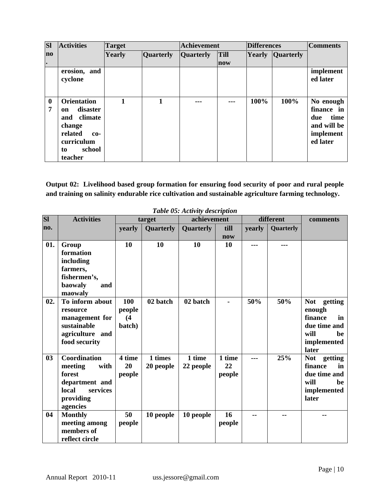| <b>SI</b>     | <b>Activities</b>                                                                                                             | <b>Target</b> |                  | <b>Achievement</b> |             | <b>Differences</b> |                  | <b>Comments</b>                                                                |
|---------------|-------------------------------------------------------------------------------------------------------------------------------|---------------|------------------|--------------------|-------------|--------------------|------------------|--------------------------------------------------------------------------------|
| $\bf{no}$     |                                                                                                                               | Yearly        | <b>Quarterly</b> | <b>Quarterly</b>   | <b>Till</b> | <b>Yearly</b>      | <b>Ouarterly</b> |                                                                                |
| I۰            |                                                                                                                               |               |                  |                    | now         |                    |                  |                                                                                |
|               | erosion, and<br>cyclone                                                                                                       |               |                  |                    |             |                    |                  | implement<br>ed later                                                          |
| $\bf{0}$<br>7 | <b>Orientation</b><br>disaster<br>on<br>climate<br>and<br>change<br>related<br>$co-$<br>curriculum<br>school<br>to<br>teacher | 1             | 1                | ---                | ---         | 100%               | 100%             | No enough<br>finance in<br>time<br>due<br>and will be<br>implement<br>ed later |

**Output 02: Livelihood based group formation for ensuring food security of poor and rural people and training on salinity endurable rice cultivation and sustainable agriculture farming technology.**

| <b>SI</b> | <b>Activities</b>                                                                                                |                                | target               | achievement         |                        |        | different | comments                                                                                     |
|-----------|------------------------------------------------------------------------------------------------------------------|--------------------------------|----------------------|---------------------|------------------------|--------|-----------|----------------------------------------------------------------------------------------------|
| no.       |                                                                                                                  | yearly                         | Quarterly            | <b>Quarterly</b>    | till<br>now            | yearly | Quarterly |                                                                                              |
| 01.       | Group<br>formation<br>including<br>farmers,<br>fishermen's,<br>baowaly<br>and<br>maowaly                         | 10                             | 10                   | 10                  | 10                     |        |           |                                                                                              |
| 02.       | To inform about<br>resource<br>management for<br>sustainable<br>agriculture and<br>food security                 | 100<br>people<br>(4)<br>batch) | 02 batch             | 02 batch            |                        | 50%    | 50%       | Not getting<br>enough<br>finance<br>in<br>due time and<br>will<br>be<br>implemented<br>later |
| 03        | <b>Coordination</b><br>meeting<br>with<br>forest<br>department and<br>local<br>services<br>providing<br>agencies | 4 time<br>20<br>people         | 1 times<br>20 people | 1 time<br>22 people | 1 time<br>22<br>people | ---    | 25%       | Not getting<br>finance<br>in<br>due time and<br>will<br>be<br>implemented<br>later           |
| 04        | <b>Monthly</b><br>meeting among<br>members of<br>reflect circle                                                  | 50<br>people                   | 10 people            | 10 people           | 16<br>people           |        | --        |                                                                                              |

*Table 05: Activity description*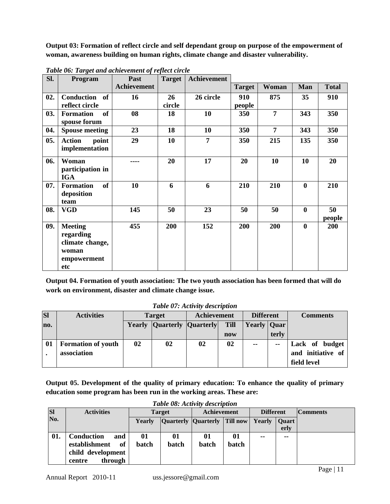**Output 03: Formation of reflect circle and self dependant group on purpose of the empowerment of woman, awareness building on human rights, climate change and disaster vulnerability.**

| SI. | Program                                                                       | Past               | <b>Target</b> | Achievement    |               |                |                  |              |
|-----|-------------------------------------------------------------------------------|--------------------|---------------|----------------|---------------|----------------|------------------|--------------|
|     |                                                                               | <b>Achievement</b> |               |                | <b>Target</b> | Woman          | Man              | <b>Total</b> |
| 02. | Conduction<br>of                                                              | 16                 | 26            | 26 circle      | 910           | 875            | 35               | 910          |
|     | reflect circle                                                                |                    | circle        |                | people        |                |                  |              |
| 03. | <b>of</b><br><b>Formation</b><br>spouse forum                                 | 08                 | 18            | 10             | 350           | $\overline{7}$ | 343              | 350          |
| 04. | <b>Spouse meeting</b>                                                         | 23                 | 18            | 10             | 350           | $\overline{7}$ | 343              | 350          |
| 05. | <b>Action</b><br>point<br>implementation                                      | 29                 | 10            | $\overline{7}$ | 350           | 215            | 135              | 350          |
| 06. | Woman<br>participation in<br><b>IGA</b>                                       | ----               | 20            | 17             | 20            | 10             | 10               | 20           |
| 07. | of<br><b>Formation</b><br>deposition<br>team                                  | 10                 | 6             | 6              | 210           | 210            | $\boldsymbol{0}$ | 210          |
| 08. | <b>VGD</b>                                                                    | 145                | 50            | 23             | 50            | 50             | $\boldsymbol{0}$ | 50<br>people |
| 09. | <b>Meeting</b><br>regarding<br>climate change,<br>woman<br>empowerment<br>etc | 455                | 200           | 152            | 200           | 200            | $\boldsymbol{0}$ | 200          |

*Table 06: Target and achievement of reflect circle*

**Output 04. Formation of youth association: The two youth association has been formed that will do work on environment, disaster and climate change issue.**

|  |  |  | Table 07: Activity description |
|--|--|--|--------------------------------|
|--|--|--|--------------------------------|

| <b>SI</b> | <b>Activities</b>         | <b>Target</b> |                                   | <b>Achievement</b> |             | <b>Different</b> |               | <b>Comments</b>   |
|-----------|---------------------------|---------------|-----------------------------------|--------------------|-------------|------------------|---------------|-------------------|
| no.       |                           |               | <b>Yearly Quarterly Quarterly</b> |                    | <b>Till</b> | Yearly   Quar    |               |                   |
|           |                           |               |                                   |                    | now         |                  | terly         |                   |
| 01        | <b>Formation of youth</b> | 02            | 02                                | 02                 | 02          | --               | $\sim$ $\sim$ | Lack of budget    |
|           | association               |               |                                   |                    |             |                  |               | and initiative of |
|           |                           |               |                                   |                    |             |                  |               | field level       |

**Output 05. Development of the quality of primary education: To enhance the quality of primary education some program has been run in the working areas. These are:** 

|           | Table 08: Activity description     |              |                              |                    |                  |        |                 |  |  |  |
|-----------|------------------------------------|--------------|------------------------------|--------------------|------------------|--------|-----------------|--|--|--|
| <b>SI</b> | <b>Activities</b><br><b>Target</b> |              |                              | <b>Achievement</b> | <b>Different</b> |        | <b>Comments</b> |  |  |  |
| No.       |                                    | Yearly       | Quarterly Quarterly Till now |                    |                  | Yearly | Quart           |  |  |  |
|           |                                    |              |                              |                    |                  |        | erly            |  |  |  |
| 01.       | <b>Conduction</b><br>and           | 01           | 01                           | 01                 | 01               | --     | --              |  |  |  |
|           | establishment<br>of                | <b>batch</b> | <b>batch</b>                 | batch              | batch            |        |                 |  |  |  |
|           | child development                  |              |                              |                    |                  |        |                 |  |  |  |
|           | through<br>centre                  |              |                              |                    |                  |        |                 |  |  |  |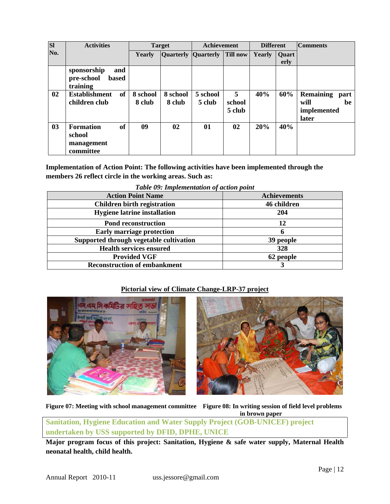| <b>SI</b>      | <b>Activities</b>                                            |                    | <b>Target</b>              | Achievement        |                       | <b>Different</b> |               | <b>Comments</b>                                                |
|----------------|--------------------------------------------------------------|--------------------|----------------------------|--------------------|-----------------------|------------------|---------------|----------------------------------------------------------------|
| No.            |                                                              | <b>Yearly</b>      | <b>Quarterly Quarterly</b> |                    | <b>Till now</b>       | <b>Yearly</b>    | Quart<br>erly |                                                                |
|                | sponsorship<br>and<br>pre-school<br><b>based</b><br>training |                    |                            |                    |                       |                  |               |                                                                |
| 02             | of<br><b>Establishment</b><br>children club                  | 8 school<br>8 club | 8 school<br>8 club         | 5 school<br>5 club | 5<br>school<br>5 club | 40%              | 60%           | <b>Remaining</b><br>part<br>will<br>be<br>implemented<br>later |
| 0 <sub>3</sub> | of<br><b>Formation</b><br>school<br>management<br>committee  | 09                 | 02                         | 01                 | 02                    | 20%              | 40%           |                                                                |

**Implementation of Action Point: The following activities have been implemented through the members 26 reflect circle in the working areas. Such as:**

*Table 09: Implementation of action point*

| <b>Action Point Name</b>                | <b>Achievements</b> |
|-----------------------------------------|---------------------|
| <b>Children birth registration</b>      | 46 children         |
| <b>Hygiene latrine installation</b>     | 204                 |
| <b>Pond reconstruction</b>              | 12                  |
| <b>Early marriage protection</b>        | n                   |
| Supported through vegetable cultivation | 39 people           |
| <b>Health services ensured</b>          | 328                 |
| <b>Provided VGF</b>                     | 62 people           |
| <b>Reconstruction of embankment</b>     |                     |

## **Pictorial view of Climate Change-LRP-37 project**





**Figure 07: Meeting with school management committee Figure 08: In writing session of field level problems in brown paper**

**Sanitation, Hygiene Education and Water Supply Project (GOB-UNICEF) project undertaken by USS supported by DFID, DPHE, UNICE**

**Major program focus of this project: Sanitation, Hygiene & safe water supply, Maternal Health neonatal health, child health.**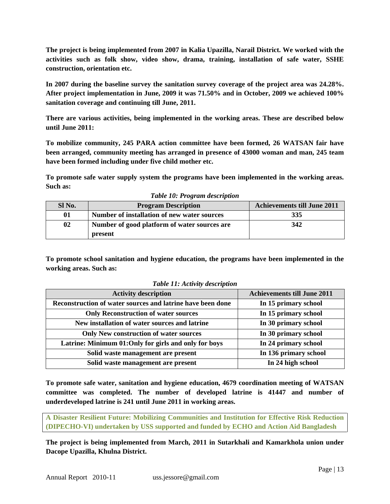**The project is being implemented from 2007 in Kalia Upazilla, Narail District. We worked with the activities such as folk show, video show, drama, training, installation of safe water, SSHE construction, orientation etc.**

**In 2007 during the baseline survey the sanitation survey coverage of the project area was 24.28%. After project implementation in June, 2009 it was 71.50% and in October, 2009 we achieved 100% sanitation coverage and continuing till June, 2011.**

**There are various activities, being implemented in the working areas. These are described below until June 2011:**

**To mobilize community, 245 PARA action committee have been formed, 26 WATSAN fair have been arranged, community meeting has arranged in presence of 43000 woman and man, 245 team have been formed including under five child mother etc.**

**To promote safe water supply system the programs have been implemented in the working areas. Such as:**

| <b>Achievements till June 2011</b> |
|------------------------------------|
| 335                                |
| 342                                |
|                                    |

*Table 10: Program description*

**To promote school sanitation and hygiene education, the programs have been implemented in the working areas. Such as:**

| <b>Activity description</b>                                | <b>Achievements till June 2011</b> |
|------------------------------------------------------------|------------------------------------|
| Reconstruction of water sources and latrine have been done | In 15 primary school               |
| <b>Only Reconstruction of water sources</b>                | In 15 primary school               |
| New installation of water sources and latrine              | In 30 primary school               |
| <b>Only New construction of water sources</b>              | In 30 primary school               |
| Latrine: Minimum 01: Only for girls and only for boys      | In 24 primary school               |
| Solid waste management are present                         | In 136 primary school              |
| Solid waste management are present                         | In 24 high school                  |

*Table 11: Activity description*

**To promote safe water, sanitation and hygiene education, 4679 coordination meeting of WATSAN committee was completed. The number of developed latrine is 41447 and number of underdeveloped latrine is 241 until June 2011 in working areas.**

**A Disaster Resilient Future: Mobilizing Communities and Institution for Effective Risk Reduction (DIPECHO-VI) undertaken by USS supported and funded by ECHO and Action Aid Bangladesh**

**The project is being implemented from March, 2011 in Sutarkhali and Kamarkhola union under Dacope Upazilla, Khulna District.**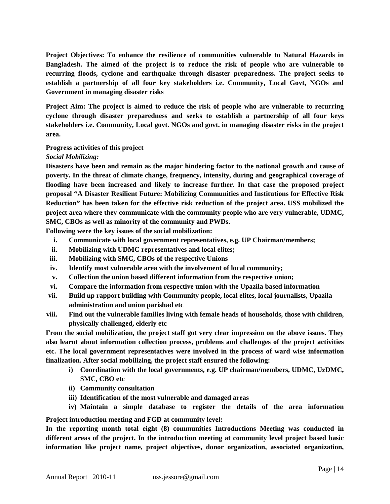**Project Objectives: To enhance the resilience of communities vulnerable to Natural Hazards in Bangladesh. The aimed of the project is to reduce the risk of people who are vulnerable to recurring floods, cyclone and earthquake through disaster preparedness. The project seeks to establish a partnership of all four key stakeholders i.e. Community, Local Govt, NGOs and Government in managing disaster risks**

**Project Aim: The project is aimed to reduce the risk of people who are vulnerable to recurring cyclone through disaster preparedness and seeks to establish a partnership of all four keys stakeholders i.e. Community, Local govt. NGOs and govt. in managing disaster risks in the project area.**

#### **Progress activities of this project**

*Social Mobilizing:* 

**Disasters have been and remain as the major hindering factor to the national growth and cause of poverty. In the threat of climate change, frequency, intensity, during and geographical coverage of flooding have been increased and likely to increase further. In that case the proposed project proposal "A Disaster Resilient Future: Mobilizing Communities and Institutions for Effective Risk Reduction" has been taken for the effective risk reduction of the project area. USS mobilized the project area where they communicate with the community people who are very vulnerable, UDMC, SMC, CBOs as well as minority of the community and PWDs.** 

**Following were the key issues of the social mobilization:** 

- **i. Communicate with local government representatives, e.g. UP Chairman/members;**
- **ii. Mobilizing with UDMC representatives and local elites;**
- **iii. Mobilizing with SMC, CBOs of the respective Unions**
- **iv. Identify most vulnerable area with the involvement of local community;**
- **v. Collection the union based different information from the respective union;**
- **vi. Compare the information from respective union with the Upazila based information**
- **vii. Build up rapport building with Community people, local elites, local journalists, Upazila administration and union parishad etc**
- **viii. Find out the vulnerable families living with female heads of households, those with children, physically challenged, elderly etc**

**From the social mobilization, the project staff got very clear impression on the above issues. They also learnt about information collection process, problems and challenges of the project activities etc. The local government representatives were involved in the process of ward wise information finalization. After social mobilizing, the project staff ensured the following:**

- **i) Coordination with the local governments, e.g. UP chairman/members, UDMC, UzDMC, SMC, CBO etc**
- **ii) Community consultation**
- **iii) Identification of the most vulnerable and damaged areas**
- **iv) Maintain a simple database to register the details of the area information**

**Project introduction meeting and FGD at community level:**

**In the reporting month total eight (8) communities Introductions Meeting was conducted in different areas of the project. In the introduction meeting at community level project based basic information like project name, project objectives, donor organization, associated organization,**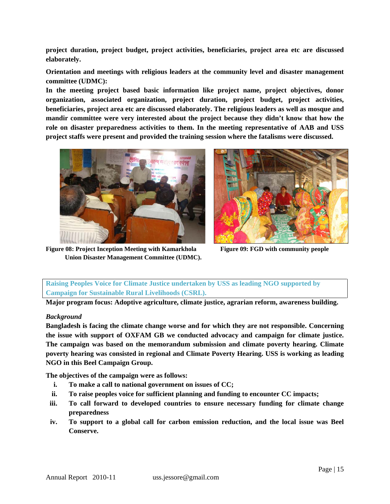**project duration, project budget, project activities, beneficiaries, project area etc are discussed elaborately.**

**Orientation and meetings with religious leaders at the community level and disaster management committee (UDMC):** 

**In the meeting project based basic information like project name, project objectives, donor organization, associated organization, project duration, project budget, project activities, beneficiaries, project area etc are discussed elaborately. The religious leaders as well as mosque and mandir committee were very interested about the project because they didn't know that how the role on disaster preparedness activities to them. In the meeting representative of AAB and USS project staffs were present and provided the training session where the fatalisms were discussed.**



**Figure 08: Project Inception Meeting with Kamarkhola Figure 09: FGD with community people Union Disaster Management Committee (UDMC).**



**Raising Peoples Voice for Climate Justice undertaken by USS as leading NGO supported by Campaign for Sustainable Rural Livelihoods (CSRL).**

**Major program focus: Adoptive agriculture, climate justice, agrarian reform, awareness building.**

#### *Background*

**Bangladesh is facing the climate change worse and for which they are not responsible. Concerning the issue with support of OXFAM GB we conducted advocacy and campaign for climate justice. The campaign was based on the memorandum submission and climate poverty hearing. Climate poverty hearing was consisted in regional and Climate Poverty Hearing. USS is working as leading NGO in this Beel Campaign Group.**

**The objectives of the campaign were as follows:**

- **i. To make a call to national government on issues of CC;**
- **ii. To raise peoples voice for sufficient planning and funding to encounter CC impacts;**
- **iii. To call forward to developed countries to ensure necessary funding for climate change preparedness**
- **iv. To support to a global call for carbon emission reduction, and the local issue was Beel Conserve.**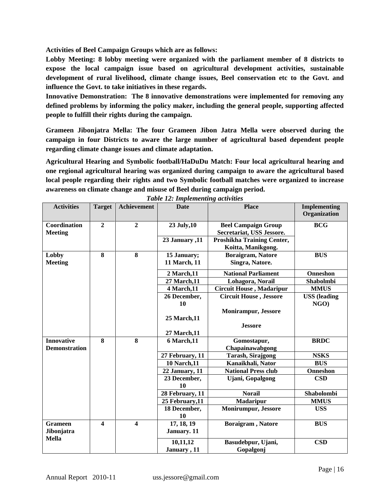**Activities of Beel Campaign Groups which are as follows:**

**Lobby Meeting: 8 lobby meeting were organized with the parliament member of 8 districts to expose the local campaign issue based on agricultural development activities, sustainable development of rural livelihood, climate change issues, Beel conservation etc to the Govt. and influence the Govt. to take initiatives in these regards.**

**Innovative Demonstration: The 8 innovative demonstrations were implemented for removing any defined problems by informing the policy maker, including the general people, supporting affected people to fulfill their rights during the campaign.**

**Grameen Jibonjatra Mella: The four Grameen Jibon Jatra Mella were observed during the campaign in four Districts to aware the large number of agricultural based dependent people regarding climate change issues and climate adaptation.**

**Agricultural Hearing and Symbolic football/HaDuDu Match: Four local agricultural hearing and one regional agricultural hearing was organized during campaign to aware the agricultural based local people regarding their rights and two Symbolic football matches were organized to increase awareness on climate change and misuse of Beel during campaign period.** 

| <b>Activities</b>                         | <b>Target</b>           | <b>Achievement</b>      | <b>Date</b>                 | <b>Place</b>                                            | <b>Implementing</b>            |
|-------------------------------------------|-------------------------|-------------------------|-----------------------------|---------------------------------------------------------|--------------------------------|
|                                           |                         |                         |                             |                                                         | Organization                   |
| Coordination<br><b>Meeting</b>            | $\overline{2}$          | $\overline{2}$          | 23 July, 10                 | <b>Beel Campaign Group</b><br>Secretariat, USS Jessore. | <b>BCG</b>                     |
|                                           |                         |                         | 23 January ,11              | Proshikha Training Center,<br>Koitta, Manikgong.        |                                |
| Lobby<br><b>Meeting</b>                   | 8                       | 8                       | 15 January;<br>11 March, 11 | Boraigram, Natore<br>Singra, Natore.                    |                                |
|                                           |                         |                         | 2 March, 11                 | <b>National Parliament</b>                              | <b>Onneshon</b>                |
|                                           |                         |                         | 27 March, 11                | Lohagora, Norail                                        | Shabolmbi                      |
|                                           |                         |                         | 4 March, 11                 | <b>Circuit House, Madaripur</b>                         | <b>MMUS</b>                    |
|                                           |                         |                         | 26 December,<br>10          | <b>Circuit House, Jessore</b>                           | <b>USS</b> (leading<br>$NGO$ ) |
|                                           |                         |                         | <b>25 March, 11</b>         | <b>Monirampur, Jessore</b>                              |                                |
|                                           |                         |                         | 27 March, 11                | <b>Jessore</b>                                          |                                |
| <b>Innovative</b><br><b>Demonstration</b> | $\overline{\mathbf{8}}$ | $\overline{\mathbf{8}}$ | 6 March, 11                 | Gomostapur,<br>Chapainawabgong                          | <b>BRDC</b>                    |
|                                           |                         |                         | 27 February, 11             | <b>Tarash, Sirajgong</b>                                | <b>NSKS</b>                    |
|                                           |                         |                         | <b>10 Narch, 11</b>         | Kanaikhali, Nator                                       | <b>BUS</b>                     |
|                                           |                         |                         | 22 January, 11              | <b>National Press club</b>                              | <b>Onneshon</b>                |
|                                           |                         |                         | 23 December,<br>10          | <b>Ujani, Gopalgong</b>                                 | <b>CSD</b>                     |
|                                           |                         |                         | 28 February, 11             | <b>Norail</b>                                           | Shabolombi                     |
|                                           |                         |                         | 25 February, 11             | <b>Madaripur</b>                                        | <b>MMUS</b>                    |
|                                           |                         |                         | 18 December,<br>10          | <b>Monirumpur, Jessore</b>                              | <b>USS</b>                     |
| <b>Grameen</b><br>Jibonjatra              | $\boldsymbol{4}$        | $\boldsymbol{4}$        | 17, 18, 19<br>January. 11   | Boraigram, Natore                                       | <b>BUS</b>                     |
| <b>Mella</b>                              |                         |                         | 10,11,12<br>January, 11     | Basudebpur, Ujani,<br>Gopalgonj                         | $\mathbf{CSD}$                 |

*Table 12: Implementing activities*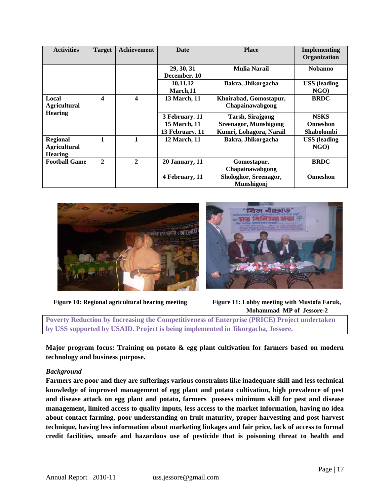| <b>Activities</b>                                        | <b>Target</b> | Achievement  | <b>Date</b>                                       | <b>Place</b>                              | <b>Implementing</b><br>Organization |
|----------------------------------------------------------|---------------|--------------|---------------------------------------------------|-------------------------------------------|-------------------------------------|
|                                                          |               |              | 29, 30, 31<br><b>Mulia Narail</b><br>December, 10 |                                           | <b>Nobanno</b>                      |
|                                                          |               |              | 10,11,12<br>March.11                              | Bakra, Jhikorgacha                        | <b>USS</b> (leading<br>$NGO$ )      |
| Local<br><b>Agricultural</b>                             | 4             | 4            | 13 March, 11                                      | Khoirabad, Gomostapur,<br>Chapainawabgong | <b>BRDC</b>                         |
| <b>Hearing</b>                                           |               |              | 3 February. 11                                    | <b>Tarsh, Sirajgong</b>                   | <b>NSKS</b>                         |
|                                                          |               |              | 15 March, 11                                      | <b>Sreenagor, Munshigong</b>              | <b>Onneshon</b>                     |
|                                                          |               |              | 13 February. 11                                   | Kumri, Lohagora, Narail                   | <b>Shabolombi</b>                   |
| <b>Regional</b><br><b>Agricultural</b><br><b>Hearing</b> | 1             |              | 12 March, 11                                      | Bakra, Jhikorgacha                        | <b>USS</b> (leading<br>$NGO$ )      |
| <b>Football Game</b>                                     | $\mathbf{2}$  | $\mathbf{2}$ | 20 January, 11                                    | Gomostapur,<br>Chapainawabgong            | <b>BRDC</b>                         |
|                                                          |               |              | 4 February, 11                                    | Shologhor, Sreenagor,<br>Munshigonj       | <b>Onneshon</b>                     |





**Poverty Reduction by Increasing the Competitiveness of Enterprise (PRICE) Project undertaken by USS supported by USAID. Project is being implemented in Jikorgacha, Jessore.**

**Major program focus: Training on potato & egg plant cultivation for farmers based on modern technology and business purpose.**

#### *Background*

**Farmers are poor and they are sufferings various constraints like inadequate skill and less technical knowledge of improved management of egg plant and potato cultivation, high prevalence of pest and disease attack on egg plant and potato, farmers possess minimum skill for pest and disease management, limited access to quality inputs, less access to the market information, having no idea about contact farming, poor understanding on fruit maturity, proper harvesting and post harvest technique, having less information about marketing linkages and fair price, lack of access to formal credit facilities, unsafe and hazardous use of pesticide that is poisoning threat to health and**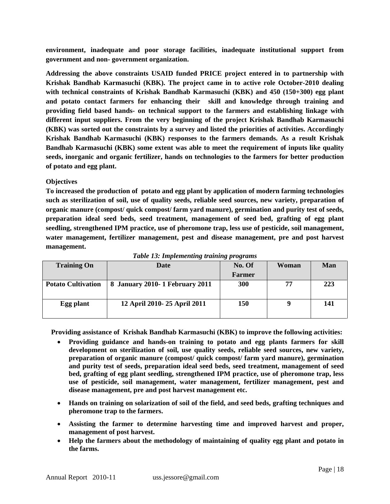**environment, inadequate and poor storage facilities, inadequate institutional support from government and non- government organization.**

**Addressing the above constraints USAID funded PRICE project entered in to partnership with Krishak Bandhab Karmasuchi (KBK). The project came in to active role October-2010 dealing with technical constraints of Krishak Bandhab Karmasuchi (KBK) and 450 (150+300) egg plant and potato contact farmers for enhancing their skill and knowledge through training and providing field based hands- on technical support to the farmers and establishing linkage with different input suppliers. From the very beginning of the project Krishak Bandhab Karmasuchi (KBK) was sorted out the constraints by a survey and listed the priorities of activities. Accordingly Krishak Bandhab Karmasuchi (KBK) responses to the farmers demands. As a result Krishak Bandhab Karmasuchi (KBK) some extent was able to meet the requirement of inputs like quality seeds, inorganic and organic fertilizer, hands on technologies to the farmers for better production of potato and egg plant.** 

#### **Objectives**

**To increased the production of potato and egg plant by application of modern farming technologies such as sterilization of soil, use of quality seeds, reliable seed sources, new variety, preparation of organic manure (compost/ quick compost/ farm yard manure), germination and purity test of seeds, preparation ideal seed beds, seed treatment, management of seed bed, grafting of egg plant seedling, strengthened IPM practice, use of pheromone trap, less use of pesticide, soil management, water management, fertilizer management, pest and disease management, pre and post harvest management.**

| <b>Training On</b>        | <b>Date</b>                     | No. Of        | Woman | Man |
|---------------------------|---------------------------------|---------------|-------|-----|
|                           |                                 | <b>Farmer</b> |       |     |
| <b>Potato Cultivation</b> | 8 January 2010- 1 February 2011 | <b>300</b>    | 77    | 223 |
|                           |                                 |               |       |     |
| Egg plant                 | 12 April 2010-25 April 2011     | <b>150</b>    |       | 141 |
|                           |                                 |               |       |     |

*Table 13: Implementing training programs*

 **Providing assistance of Krishak Bandhab Karmasuchi (KBK) to improve the following activities:**

- **Providing guidance and hands-on training to potato and egg plants farmers for skill development on sterilization of soil, use quality seeds, reliable seed sources, new variety, preparation of organic manure (compost/ quick compost/ farm yard manure), germination and purity test of seeds, preparation ideal seed beds, seed treatment, management of seed bed, grafting of egg plant seedling, strengthened IPM practice, use of pheromone trap, less use of pesticide, soil management, water management, fertilizer management, pest and disease management, pre and post harvest management etc.**
- **Hands on training on solarization of soil of the field, and seed beds, grafting techniques and pheromone trap to the farmers.**
- **Assisting the farmer to determine harvesting time and improved harvest and proper, management of post harvest.**
- **Help the farmers about the methodology of maintaining of quality egg plant and potato in the farms.**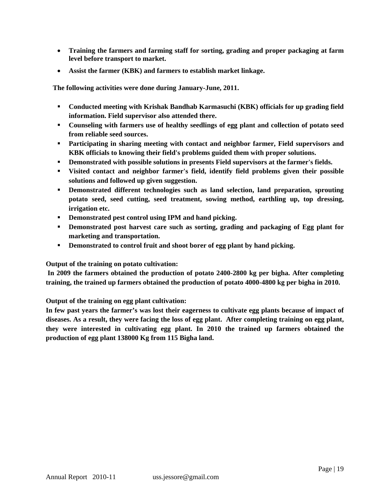- **Training the farmers and farming staff for sorting, grading and proper packaging at farm level before transport to market.**
- **Assist the farmer (KBK) and farmers to establish market linkage.**

 **The following activities were done during January-June, 2011.**

- **Conducted meeting with Krishak Bandhab Karmasuchi (KBK) officials for up grading field information. Field supervisor also attended there.**
- **Counseling with farmers use of healthy seedlings of egg plant and collection of potato seed from reliable seed sources.**
- **Participating in sharing meeting with contact and neighbor farmer, Field supervisors and KBK officials to knowing their field's problems guided them with proper solutions.**
- **PEDEF 1** Demonstrated with possible solutions in presents Field supervisors at the farmer's fields.
- **Visited contact and neighbor farmer's field, identify field problems given their possible solutions and followed up given suggestion.**
- **Pemonstrated different technologies such as land selection, land preparation, sprouting potato seed, seed cutting, seed treatment, sowing method, earthling up, top dressing, irrigation etc.**
- **Demonstrated pest control using IPM and hand picking.**
- **Pemonstrated post harvest care such as sorting, grading and packaging of Egg plant for marketing and transportation.**
- **Demonstrated to control fruit and shoot borer of egg plant by hand picking.**

**Output of the training on potato cultivation:**

**In 2009 the farmers obtained the production of potato 2400-2800 kg per bigha. After completing training, the trained up farmers obtained the production of potato 4000-4800 kg per bigha in 2010.**

**Output of the training on egg plant cultivation:**

**In few past years the farmer's was lost their eagerness to cultivate egg plants because of impact of diseases. As a result, they were facing the loss of egg plant. After completing training on egg plant, they were interested in cultivating egg plant. In 2010 the trained up farmers obtained the production of egg plant 138000 Kg from 115 Bigha land.**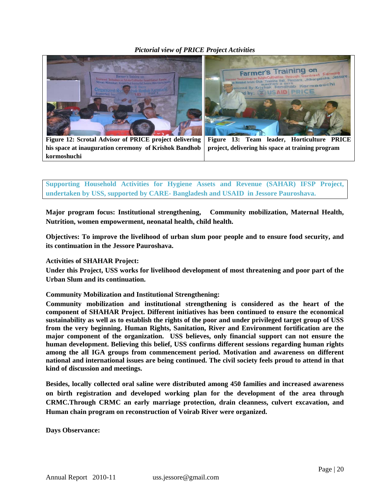### *Pictorial view of PRICE Project Activities*



**Figure 12: Scrotal Advisor of PRICE project delivering his space at inauguration ceremony of Krishok Bandhob kormoshuchi** 

**Figure 13: Team leader, Horticulture PRICE project, delivering his space at training program** 

**Supporting Household Activities for Hygiene Assets and Revenue (SAHAR) IFSP Project, undertaken by USS, supported by CARE- Bangladesh and USAID in Jessore Pauroshava.**

**Major program focus: Institutional strengthening, Community mobilization, Maternal Health, Nutrition, women empowerment, neonatal health, child health.**

**Objectives: To improve the livelihood of urban slum poor people and to ensure food security, and its continuation in the Jessore Pauroshava.**

#### **Activities of SHAHAR Project:**

**Under this Project, USS works for livelihood development of most threatening and poor part of the Urban Slum and its continuation.**

**Community Mobilization and Institutional Strengthening:**

**Community mobilization and institutional strengthening is considered as the heart of the component of SHAHAR Project. Different initiatives has been continued to ensure the economical sustainability as well as to establish the rights of the poor and under privileged target group of USS from the very beginning. Human Rights, Sanitation, River and Environment fortification are the major component of the organization. USS believes, only financial support can not ensure the human development. Believing this belief, USS confirms different sessions regarding human rights among the all IGA groups from commencement period. Motivation and awareness on different national and international issues are being continued. The civil society feels proud to attend in that kind of discussion and meetings.** 

**Besides, locally collected oral saline were distributed among 450 families and increased awareness on birth registration and developed working plan for the development of the area through CRMC.Through CRMC an early marriage protection, drain cleanness, culvert excavation, and Human chain program on reconstruction of Voirab River were organized.**

**Days Observance:**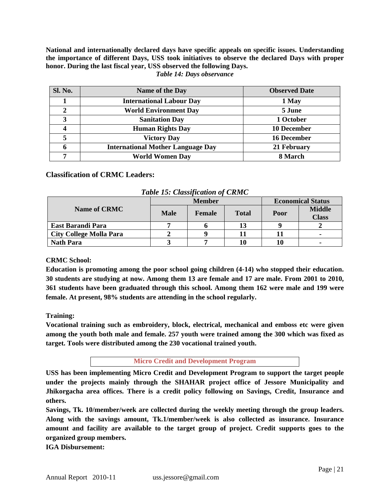**National and internationally declared days have specific appeals on specific issues. Understanding the importance of different Days, USS took initiatives to observe the declared Days with proper honor. During the last fiscal year, USS observed the following Days.**

| <b>Sl. No.</b> | Name of the Day                          | <b>Observed Date</b> |
|----------------|------------------------------------------|----------------------|
|                | <b>International Labour Day</b>          | 1 May                |
| $\gamma$       | <b>World Environment Day</b>             | 5 June               |
| 3              | <b>Sanitation Day</b>                    | 1 October            |
|                | <b>Human Rights Day</b>                  | <b>10 December</b>   |
|                | <b>Victory Day</b>                       | <b>16 December</b>   |
| 6              | <b>International Mother Language Day</b> | 21 February          |
| ៗ              | <b>World Women Day</b>                   | 8 March              |

#### *Table 14: Days observance*

### **Classification of CRMC Leaders:**

| Two re Tel Chappelleand it of Citize |             |               |                          |      |                               |  |  |
|--------------------------------------|-------------|---------------|--------------------------|------|-------------------------------|--|--|
|                                      |             | <b>Member</b> | <b>Economical Status</b> |      |                               |  |  |
| <b>Name of CRMC</b>                  | <b>Male</b> | <b>Female</b> | <b>Total</b>             | Poor | <b>Middle</b><br><b>Class</b> |  |  |
| East Barandi Para                    |             |               |                          |      |                               |  |  |
| <b>City College Molla Para</b>       |             |               |                          |      |                               |  |  |
| <b>Nath Para</b>                     |             |               |                          |      |                               |  |  |

*Table 15: Classification of CRMC*

#### **CRMC School:**

**Education is promoting among the poor school going children (4-14) who stopped their education. 30 students are studying at now. Among them 13 are female and 17 are male. From 2001 to 2010, 361 students have been graduated through this school. Among them 162 were male and 199 were female. At present, 98% students are attending in the school regularly.**

#### **Training:**

**Vocational training such as embroidery, block, electrical, mechanical and emboss etc were given among the youth both male and female. 257 youth were trained among the 300 which was fixed as target. Tools were distributed among the 230 vocational trained youth.** 

**Micro Credit and Development Program**

**USS has been implementing Micro Credit and Development Program to support the target people under the projects mainly through the SHAHAR project office of Jessore Municipality and Jhikorgacha area offices. There is a credit policy following on Savings, Credit, Insurance and others.**

**Savings, Tk. 10/member/week are collected during the weekly meeting through the group leaders. Along with the savings amount, Tk.1/member/week is also collected as insurance. Insurance amount and facility are available to the target group of project. Credit supports goes to the organized group members.**

**IGA Disbursement:**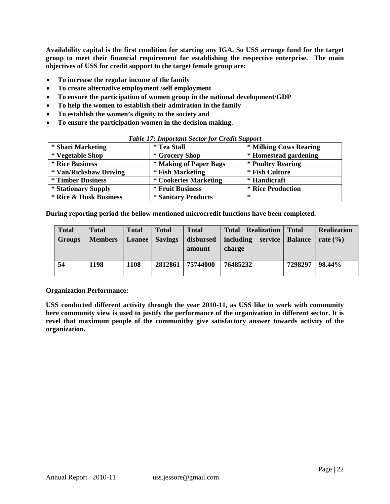**Availability capital is the first condition for starting any IGA. So USS arrange fund for the target group to meet their financial requirement for establishing the respective enterprise. The main objectives of USS for credit support to the target female group are:**

- **To increase the regular income of the family**
- **To create alternative employment /self employment**
- **To ensure the participation of women group in the national development/GDP**
- **To help the women to establish their admiration in the family**
- **To establish the women's dignity to the society and**
- **To ensure the participation women in the decision making.**

| Twore I'll Important Sector for Create Support |                            |                          |  |  |  |  |
|------------------------------------------------|----------------------------|--------------------------|--|--|--|--|
| * Shari Marketing                              | <i>*</i> Tea Stall         | * Milking Cows Rearing   |  |  |  |  |
| * Vegetable Shop                               | * Grocery Shop             | * Homestead gardening    |  |  |  |  |
| * Rice Business                                | * Making of Paper Bags     | * Poultry Rearing        |  |  |  |  |
| * Van/Rickshaw Driving                         | * Fish Marketing           | * Fish Culture           |  |  |  |  |
| <i>*</i> Timber Business                       | * Cookeries Marketing      | * Handicraft             |  |  |  |  |
| * Stationary Supply                            | * Fruit Business           | <b>* Rice Production</b> |  |  |  |  |
| <b>* Rice &amp; Husk Business</b>              | <i>*</i> Sanitary Products | ∗                        |  |  |  |  |

#### *Table 17: Important Sector for Credit Support*

**During reporting period the bellow mentioned microcredit functions have been completed.**

| <b>Total</b><br><b>Groups</b> | <b>Total</b><br><b>Members</b> | <b>Total</b><br>Loanee | <b>Total</b><br><b>Savings</b> | <b>Total</b><br>disbursed<br>amount | <b>Total Realization</b><br>including<br>service<br>charge | <b>Total</b><br><b>Balance</b> | <b>Realization</b><br>rate $\left(\frac{9}{6}\right)$ |
|-------------------------------|--------------------------------|------------------------|--------------------------------|-------------------------------------|------------------------------------------------------------|--------------------------------|-------------------------------------------------------|
| 54                            | 1198                           | 1108                   | 2812861                        | 75744000                            | 76485232                                                   | 7298297                        | 98.44%                                                |

#### **Organization Performance:**

**USS conducted different activity through the year 2010-11, as USS like to work with community here community view is used to justify the performance of the organization in different sector. It is revel that maximum people of the communithy give satisfactory answer towards activity of the organization.**